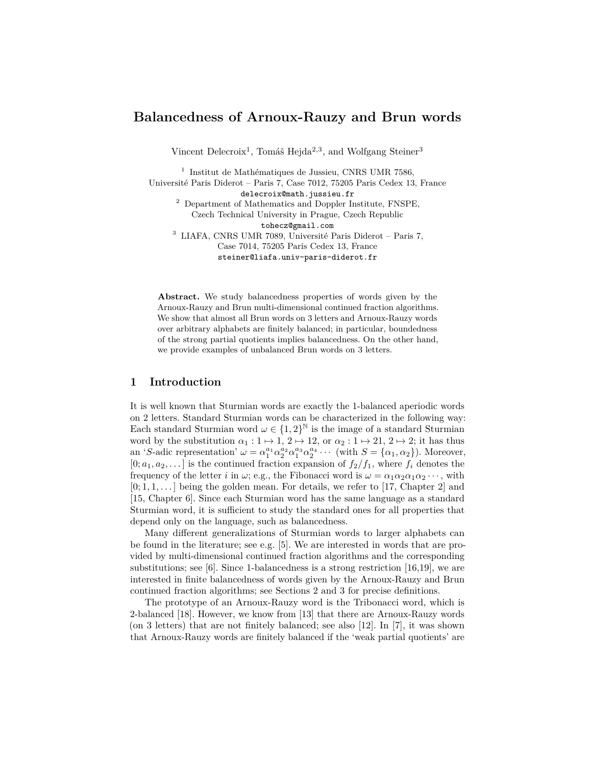# **Balancedness of Arnoux-Rauzy and Brun words**

Vincent Delecroix<sup>1</sup>, Tomáš Hejda<sup>2,3</sup>, and Wolfgang Steiner<sup>3</sup>

<sup>1</sup> Institut de Mathématiques de Jussieu, CNRS UMR 7586, Université Paris Diderot – Paris 7, Case 7012, 75205 Paris Cedex 13, France delecroix@math.jussieu.fr <sup>2</sup> Department of Mathematics and Doppler Institute, FNSPE, Czech Technical University in Prague, Czech Republic tohecz@gmail.com  $^3\,$  LIAFA, CNRS UMR 7089, Université Paris Diderot – Paris 7, Case 7014, 75205 Paris Cedex 13, France steiner@liafa.univ-paris-diderot.fr

**Abstract.** We study balancedness properties of words given by the Arnoux-Rauzy and Brun multi-dimensional continued fraction algorithms. We show that almost all Brun words on 3 letters and Arnoux-Rauzy words over arbitrary alphabets are finitely balanced; in particular, boundedness of the strong partial quotients implies balancedness. On the other hand, we provide examples of unbalanced Brun words on 3 letters.

# **1 Introduction**

It is well known that Sturmian words are exactly the 1-balanced aperiodic words on 2 letters. Standard Sturmian words can be characterized in the following way: Each standard Sturmian word  $\omega \in \{1,2\}^{\mathbb{N}}$  is the image of a standard Sturmian word by the substitution  $\alpha_1 : 1 \mapsto 1$ ,  $2 \mapsto 12$ , or  $\alpha_2 : 1 \mapsto 21$ ,  $2 \mapsto 2$ ; it has thus an '*S*-adic representation'  $\omega = \alpha_1^{a_1} \alpha_2^{a_2} \alpha_1^{a_3} \alpha_2^{a_4} \cdots$  (with  $S = {\alpha_1, \alpha_2}$ ). Moreover,  $[0; a_1, a_2, \ldots]$  is the continued fraction expansion of  $f_2/f_1$ , where  $f_i$  denotes the frequency of the letter *i* in  $\omega$ ; e.g., the Fibonacci word is  $\omega = \alpha_1 \alpha_2 \alpha_1 \alpha_2 \cdots$ , with  $[0; 1, 1, \ldots]$  being the golden mean. For details, we refer to [17, Chapter 2] and [15, Chapter 6]. Since each Sturmian word has the same language as a standard Sturmian word, it is sufficient to study the standard ones for all properties that depend only on the language, such as balancedness.

Many different generalizations of Sturmian words to larger alphabets can be found in the literature; see e.g. [5]. We are interested in words that are provided by multi-dimensional continued fraction algorithms and the corresponding substitutions; see [6]. Since 1-balancedness is a strong restriction [16,19], we are interested in finite balancedness of words given by the Arnoux-Rauzy and Brun continued fraction algorithms; see Sections 2 and 3 for precise definitions.

The prototype of an Arnoux-Rauzy word is the Tribonacci word, which is 2-balanced [18]. However, we know from [13] that there are Arnoux-Rauzy words (on 3 letters) that are not finitely balanced; see also [12]. In [7], it was shown that Arnoux-Rauzy words are finitely balanced if the 'weak partial quotients' are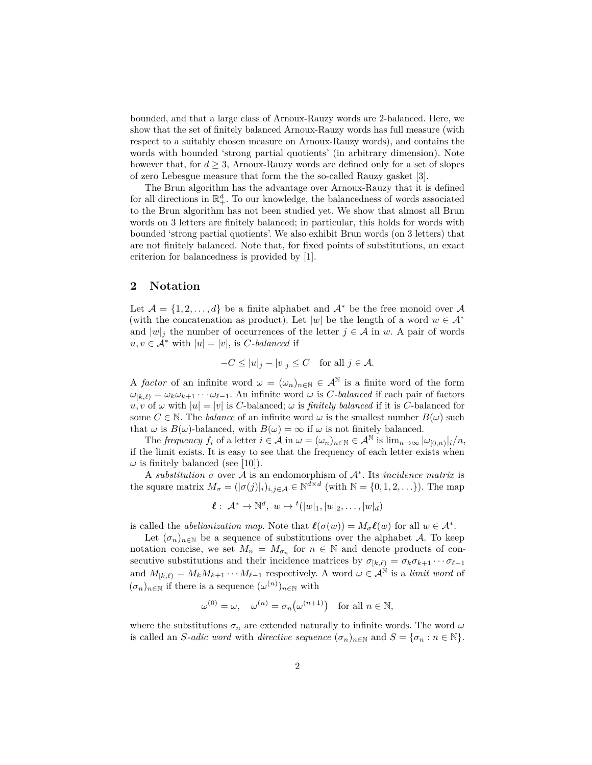bounded, and that a large class of Arnoux-Rauzy words are 2-balanced. Here, we show that the set of finitely balanced Arnoux-Rauzy words has full measure (with respect to a suitably chosen measure on Arnoux-Rauzy words), and contains the words with bounded 'strong partial quotients' (in arbitrary dimension). Note however that, for  $d \geq 3$ , Arnoux-Rauzy words are defined only for a set of slopes of zero Lebesgue measure that form the the so-called Rauzy gasket [3].

The Brun algorithm has the advantage over Arnoux-Rauzy that it is defined for all directions in  $\mathbb{R}^d_+$ . To our knowledge, the balancedness of words associated to the Brun algorithm has not been studied yet. We show that almost all Brun words on 3 letters are finitely balanced; in particular, this holds for words with bounded 'strong partial quotients'. We also exhibit Brun words (on 3 letters) that are not finitely balanced. Note that, for fixed points of substitutions, an exact criterion for balancedness is provided by [1].

## **2 Notation**

Let  $\mathcal{A} = \{1, 2, \ldots, d\}$  be a finite alphabet and  $\mathcal{A}^*$  be the free monoid over  $\mathcal{A}$ (with the concatenation as product). Let  $|w|$  be the length of a word  $w \in A^*$ and  $|w|_j$  the number of occurrences of the letter  $j \in A$  in *w*. A pair of words  $u, v \in A^*$  with  $|u| = |v|$ , is *C-balanced* if

$$
-C \le |u|_j - |v|_j \le C \quad \text{for all } j \in \mathcal{A}.
$$

A *factor* of an infinite word  $\omega = (\omega_n)_{n \in \mathbb{N}} \in \mathcal{A}^{\mathbb{N}}$  is a finite word of the form  $\omega_{[k,\ell)} = \omega_k \omega_{k+1} \cdots \omega_{\ell-1}$ . An infinite word  $\omega$  is *C*-balanced if each pair of factors  $u, v$  of  $\omega$  with  $|u| = |v|$  is *C*-balanced;  $\omega$  is *finitely balanced* if it is *C*-balanced for some  $C \in \mathbb{N}$ . The *balance* of an infinite word  $\omega$  is the smallest number  $B(\omega)$  such that  $\omega$  is  $B(\omega)$ -balanced, with  $B(\omega) = \infty$  if  $\omega$  is not finitely balanced.

The *frequency*  $f_i$  of a letter  $i \in \mathcal{A}$  in  $\omega = (\omega_n)_{n \in \mathbb{N}} \in \mathcal{A}^{\mathbb{N}}$  is  $\lim_{n \to \infty} |\omega_{[0,n)}|_i/n$ , if the limit exists. It is easy to see that the frequency of each letter exists when  $\omega$  is finitely balanced (see [10]).

A *substitution*  $\sigma$  over A is an endomorphism of  $\mathcal{A}^*$ . Its *incidence matrix* is the square matrix  $M_{\sigma} = (|\sigma(j)|_i)_{i,j \in \mathcal{A}} \in \mathbb{N}^{\bar{d} \times d}$  (with  $\mathbb{N} = \{0, 1, 2, \ldots\}$ ). The map

$$
\ell: \mathcal{A}^* \to \mathbb{N}^d, w \mapsto {}^t(|w|_1, |w|_2, \dots, |w|_d)
$$

is called the *abelianization map*. Note that  $\ell(\sigma(w)) = M_{\sigma} \ell(w)$  for all  $w \in A^*$ .

Let  $(\sigma_n)_{n\in\mathbb{N}}$  be a sequence of substitutions over the alphabet A. To keep notation concise, we set  $M_n = M_{\sigma_n}$  for  $n \in \mathbb{N}$  and denote products of consecutive substitutions and their incidence matrices by  $\sigma_{[k,\ell)} = \sigma_k \sigma_{k+1} \cdots \sigma_{\ell-1}$ and  $M_{[k,\ell)} = M_k M_{k+1} \cdots M_{\ell-1}$  respectively. A word  $\omega \in A^{\mathbb{N}}$  is a *limit word* of  $(\sigma_n)_{n \in \mathbb{N}}$  if there is a sequence  $(\omega^{(n)})_{n \in \mathbb{N}}$  with

$$
\omega^{(0)} = \omega, \quad \omega^{(n)} = \sigma_n(\omega^{(n+1)}) \quad \text{for all } n \in \mathbb{N},
$$

where the substitutions  $\sigma_n$  are extended naturally to infinite words. The word  $\omega$ is called an *S*-adic word with directive sequence  $(\sigma_n)_{n \in \mathbb{N}}$  and  $S = {\sigma_n : n \in \mathbb{N}}$ .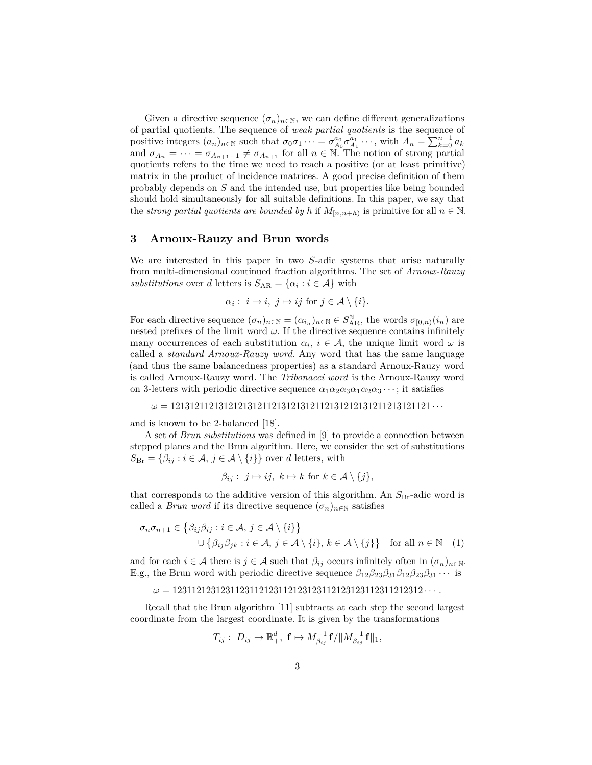Given a directive sequence  $(\sigma_n)_{n\in\mathbb{N}}$ , we can define different generalizations of partial quotients. The sequence of *weak partial quotients* is the sequence of positive integers  $(a_n)_{n \in \mathbb{N}}$  such that  $\sigma_0 \sigma_1 \cdots = \sigma_{A_0}^{a_0} \sigma_{A_1}^{a_1} \cdots$ , with  $A_n = \sum_{k=0}^{n-1} a_k$ and  $\sigma_{A_n} = \cdots = \sigma_{A_{n+1}-1} \neq \sigma_{A_{n+1}}$  for all  $n \in \mathbb{N}$ . The notion of strong partial quotients refers to the time we need to reach a positive (or at least primitive) matrix in the product of incidence matrices. A good precise definition of them probably depends on *S* and the intended use, but properties like being bounded should hold simultaneously for all suitable definitions. In this paper, we say that the *strong partial quotients are bounded by h* if  $M_{[n,n+h)}$  is primitive for all  $n \in \mathbb{N}$ .

#### **3 Arnoux-Rauzy and Brun words**

We are interested in this paper in two *S*-adic systems that arise naturally from multi-dimensional continued fraction algorithms. The set of *Arnoux-Rauzy substitutions* over *d* letters is  $S_{AR} = {\alpha_i : i \in A}$  with

$$
\alpha_i: i \mapsto i, j \mapsto ij \text{ for } j \in \mathcal{A} \setminus \{i\}.
$$

For each directive sequence  $(\sigma_n)_{n \in \mathbb{N}} = (\alpha_{i_n})_{n \in \mathbb{N}} \in S_{AR}^{\mathbb{N}}$ , the words  $\sigma_{[0,n)}(i_n)$  are nested prefixes of the limit word  $\omega$ . If the directive sequence contains infinitely many occurrences of each substitution  $\alpha_i$ ,  $i \in \mathcal{A}$ , the unique limit word  $\omega$  is called a *standard Arnoux-Rauzy word*. Any word that has the same language (and thus the same balancedness properties) as a standard Arnoux-Rauzy word is called Arnoux-Rauzy word. The *Tribonacci word* is the Arnoux-Rauzy word on 3-letters with periodic directive sequence  $\alpha_1 \alpha_2 \alpha_3 \alpha_1 \alpha_2 \alpha_3 \cdots$ ; it satisfies

*ω* = 121312112131212131211213121312112131212131211213121121 · · ·

and is known to be 2-balanced [18].

A set of *Brun substitutions* was defined in [9] to provide a connection between stepped planes and the Brun algorithm. Here, we consider the set of substitutions  $S_{\text{Br}} = \{\beta_{ij} : i \in \mathcal{A}, j \in \mathcal{A} \setminus \{i\}\}\$ over *d* letters, with

$$
\beta_{ij}: j \mapsto ij, k \mapsto k \text{ for } k \in \mathcal{A} \setminus \{j\},\
$$

that corresponds to the additive version of this algorithm. An  $S_{\text{Br}}$ -adic word is called a *Brun word* if its directive sequence  $(\sigma_n)_{n \in \mathbb{N}}$  satisfies

$$
\sigma_n \sigma_{n+1} \in \left\{ \beta_{ij} \beta_{ij} : i \in \mathcal{A}, j \in \mathcal{A} \setminus \{i\} \right\}
$$
  

$$
\cup \left\{ \beta_{ij} \beta_{jk} : i \in \mathcal{A}, j \in \mathcal{A} \setminus \{i\}, k \in \mathcal{A} \setminus \{j\} \right\} \text{ for all } n \in \mathbb{N} \quad (1)
$$

and for each  $i \in \mathcal{A}$  there is  $j \in \mathcal{A}$  such that  $\beta_{ij}$  occurs infinitely often in  $(\sigma_n)_{n \in \mathbb{N}}$ . E.g., the Brun word with periodic directive sequence  $\beta_{12}\beta_{23}\beta_{31}\beta_{12}\beta_{23}\beta_{31}\cdots$  is

```
ω = 1231121231231123112123112123123112123123112311212312 · · · .
```
Recall that the Brun algorithm [11] subtracts at each step the second largest coordinate from the largest coordinate. It is given by the transformations

$$
T_{ij}:\; D_{ij}\rightarrow \mathbb{R}^d_+,\; \mathbf{f}\mapsto M_{\beta_{ij}}^{-1}\mathbf{f}/\|M_{\beta_{ij}}^{-1}\mathbf{f}\|_1,
$$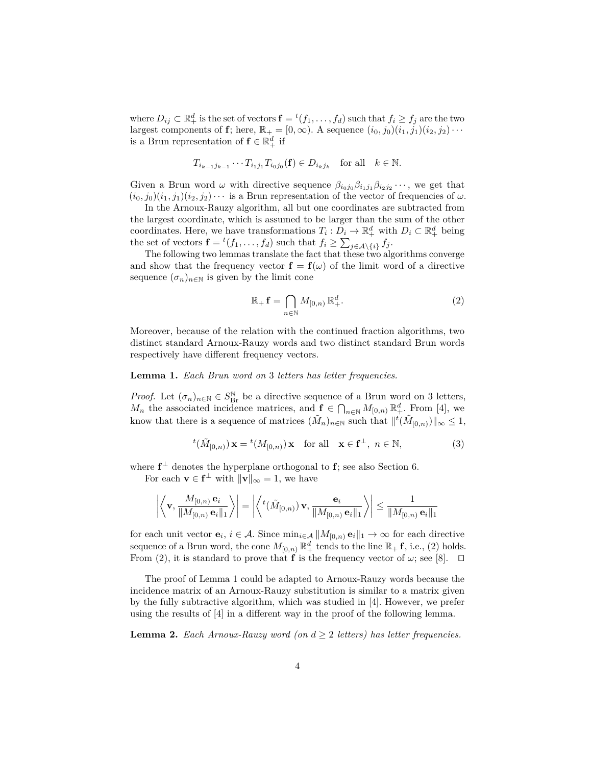where  $D_{ij} \subset \mathbb{R}_+^d$  is the set of vectors  $\mathbf{f} = {}^t(f_1, \ldots, f_d)$  such that  $f_i \ge f_j$  are the two largest components of **f**; here,  $\mathbb{R}_+ = [0, \infty)$ . A sequence  $(i_0, j_0)(i_1, j_1)(i_2, j_2) \cdots$ is a Brun representation of  $f \in \mathbb{R}_+^d$  if

$$
T_{i_{k-1}j_{k-1}}\cdots T_{i_1j_1}T_{i_0j_0}(\mathbf{f})\in D_{i_kj_k} \quad \text{for all} \quad k\in\mathbb{N}.
$$

Given a Brun word  $\omega$  with directive sequence  $\beta_{i_0 j_0} \beta_{i_1 j_1} \beta_{i_2 j_2} \cdots$ , we get that  $(i_0, j_0)(i_1, j_1)(i_2, j_2)\cdots$  is a Brun representation of the vector of frequencies of  $\omega$ .

In the Arnoux-Rauzy algorithm, all but one coordinates are subtracted from the largest coordinate, which is assumed to be larger than the sum of the other coordinates. Here, we have transformations  $T_i: D_i \to \mathbb{R}^d_+$  with  $D_i \subset \mathbb{R}^d_+$  being the set of vectors  $\mathbf{f} = {}^{t}(f_{1}, \ldots, f_{d})$  such that  $f_{i} \geq \sum_{j \in \mathcal{A} \setminus \{i\}} f_{j}$ .

The following two lemmas translate the fact that these two algorithms converge and show that the frequency vector  $f = f(\omega)$  of the limit word of a directive sequence  $(\sigma_n)_{n\in\mathbb{N}}$  is given by the limit cone

$$
\mathbb{R}_{+} \mathbf{f} = \bigcap_{n \in \mathbb{N}} M_{[0,n)} \, \mathbb{R}_{+}^{d}.
$$
 (2)

Moreover, because of the relation with the continued fraction algorithms, two distinct standard Arnoux-Rauzy words and two distinct standard Brun words respectively have different frequency vectors.

#### **Lemma 1.** *Each Brun word on* 3 *letters has letter frequencies.*

*Proof.* Let  $(\sigma_n)_{n \in \mathbb{N}} \in S_{\text{Br}}^{\mathbb{N}}$  be a directive sequence of a Brun word on 3 letters, *M<sub>n</sub>* the associated incidence matrices, and  $f \in \bigcap_{n\in\mathbb{N}} M_{[0,n)} \mathbb{R}^d_+$ . From [4], we know that there is a sequence of matrices  $(\tilde{M}_n)_{n\in\mathbb{N}}$  such that  $||^t(\tilde{M}_{[0,n)})||_{\infty} \leq 1$ ,

$$
{}^{t}(\tilde{M}_{[0,n)})\mathbf{x} = {}^{t}(M_{[0,n)})\mathbf{x} \text{ for all } \mathbf{x} \in \mathbf{f}^{\perp}, n \in \mathbb{N},
$$
 (3)

where  $f^{\perp}$  denotes the hyperplane orthogonal to f; see also Section 6.

For each  $\mathbf{v} \in \mathbf{f}^{\perp}$  with  $\|\mathbf{v}\|_{\infty} = 1$ , we have

$$
\left|\left\langle \mathbf{v}, \frac{M_{[0,n)}\,\mathbf{e}_i}{\|M_{[0,n)}\,\mathbf{e}_i\|_1} \right\rangle\right| = \left|\left\langle {}^t(\tilde{M}_{[0,n)})\,\mathbf{v}, \frac{\mathbf{e}_i}{\|M_{[0,n)}\,\mathbf{e}_i\|_1} \right\rangle\right| \leq \frac{1}{\|M_{[0,n)}\,\mathbf{e}_i\|_1}
$$

for each unit vector  $\mathbf{e}_i, i \in \mathcal{A}$ . Since  $\min_{i \in \mathcal{A}} ||M_{[0,n)} \mathbf{e}_i||_1 \to \infty$  for each directive sequence of a Brun word, the cone  $M_{[0,n)} \mathbb{R}^d_+$  tends to the line  $\mathbb{R}_+$  **f**, i.e., (2) holds. From (2), it is standard to prove that **f** is the frequency vector of  $\omega$ ; see [8].  $\Box$ 

The proof of Lemma 1 could be adapted to Arnoux-Rauzy words because the incidence matrix of an Arnoux-Rauzy substitution is similar to a matrix given by the fully subtractive algorithm, which was studied in [4]. However, we prefer using the results of [4] in a different way in the proof of the following lemma.

**Lemma 2.** *Each Arnoux-Rauzy word (on*  $d \geq 2$  *letters) has letter frequencies.*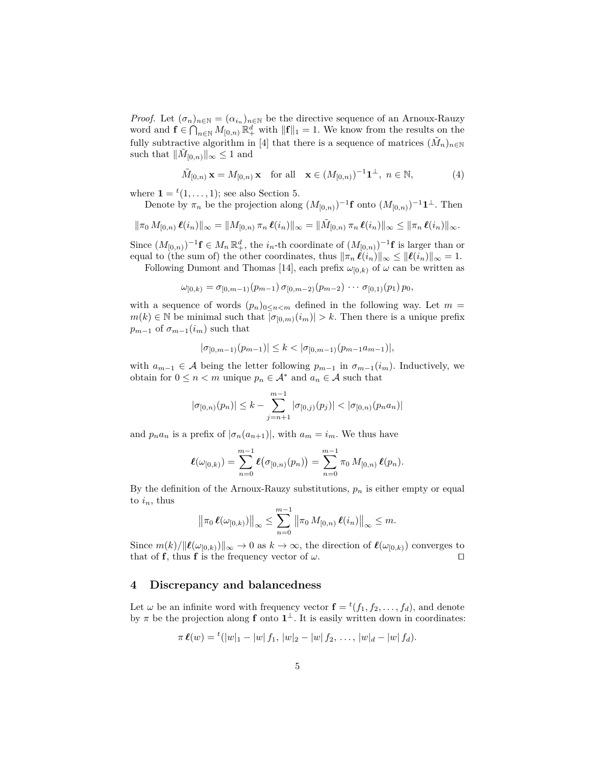*Proof.* Let  $(\sigma_n)_{n \in \mathbb{N}} = (\alpha_{i_n})_{n \in \mathbb{N}}$  be the directive sequence of an Arnoux-Rauzy word and  $f \in \bigcap_{n \in \mathbb{N}} M_{[0,n)} \mathbb{R}^d_+$  with  $\|\mathbf{f}\|_1 = 1$ . We know from the results on the fully subtractive algorithm in [4] that there is a sequence of matrices  $(\tilde{M}_n)_{n\in\mathbb{N}}$ such that  $\|\tilde{M}_{[0,n)}\|_{\infty} \leq 1$  and

$$
\tilde{M}_{[0,n)} \mathbf{x} = M_{[0,n)} \mathbf{x} \quad \text{for all} \quad \mathbf{x} \in (M_{[0,n)})^{-1} \mathbf{1}^{\perp}, \ n \in \mathbb{N},\tag{4}
$$

where  $\mathbf{1} = {}^{t}(1, \ldots, 1);$  see also Section 5.

Denote by  $\pi_n$  be the projection along  $(M_{[0,n)})^{-1}$ **f** onto  $(M_{[0,n)})^{-1}$ **1**<sup>⊥</sup>. Then

$$
\|\pi_0 M_{[0,n)} \ell(i_n)\|_{\infty} = \|M_{[0,n)} \pi_n \ell(i_n)\|_{\infty} = \|\tilde{M}_{[0,n)} \pi_n \ell(i_n)\|_{\infty} \le \|\pi_n \ell(i_n)\|_{\infty}.
$$

Since  $(M_{[0,n)})^{-1}$ **f**  $\in M_n \mathbb{R}^d_+$ , the *i<sub>n</sub>*-th coordinate of  $(M_{[0,n)})^{-1}$ **f** is larger than or equal to (the sum of) the other coordinates, thus  $\|\pi_n \ell(i_n)\|_{\infty} \leq \|\ell(i_n)\|_{\infty} = 1$ .

Following Dumont and Thomas [14], each prefix  $\omega_{[0,k)}$  of  $\omega$  can be written as

$$
\omega_{[0,k)} = \sigma_{[0,m-1)}(p_{m-1})\,\sigma_{[0,m-2)}(p_{m-2})\,\cdots\,\sigma_{[0,1)}(p_1)\,p_0,
$$

with a sequence of words  $(p_n)_{0 \leq n \leq m}$  defined in the following way. Let  $m =$  $m(k) \in \mathbb{N}$  be minimal such that  $|\sigma_{[0,m)}(i_m)| > k$ . Then there is a unique prefix  $p_{m-1}$  of  $\sigma_{m-1}(i_m)$  such that

$$
|\sigma_{[0,m-1)}(p_{m-1})| \leq k < |\sigma_{[0,m-1)}(p_{m-1}a_{m-1})|,
$$

with  $a_{m-1}$  ∈ A being the letter following  $p_{m-1}$  in  $\sigma_{m-1}(i_m)$ . Inductively, we obtain for  $0 \leq n < m$  unique  $p_n \in A^*$  and  $a_n \in A$  such that

$$
|\sigma_{[0,n)}(p_n)| \leq k - \sum_{j=n+1}^{m-1} |\sigma_{[0,j)}(p_j)| < |\sigma_{[0,n)}(p_n a_n)|
$$

and  $p_n a_n$  is a prefix of  $|\sigma_n(a_{n+1})|$ , with  $a_m = i_m$ . We thus have

$$
\ell(\omega_{[0,k)}) = \sum_{n=0}^{m-1} \ell(\sigma_{[0,n)}(p_n)) = \sum_{n=0}^{m-1} \pi_0 M_{[0,n)} \ell(p_n).
$$

By the definition of the Arnoux-Rauzy substitutions,  $p_n$  is either empty or equal to  $i_n$ , thus

$$
\left\|\pi_0 \,\boldsymbol{\ell}(\omega_{[0,k)})\right\|_{\infty} \leq \sum_{n=0}^{m-1} \left\|\pi_0 \, M_{[0,n)} \, \boldsymbol{\ell}(i_n)\right\|_{\infty} \leq m.
$$

Since  $m(k)/\|\ell(\omega_{[0,k)})\|_{\infty} \to 0$  as  $k \to \infty$ , the direction of  $\ell(\omega_{[0,k)})$  converges to that of **f**, thus **f** is the frequency vector of  $\omega$ .

#### **4 Discrepancy and balancedness**

Let  $\omega$  be an infinite word with frequency vector  $\mathbf{f} = {}^{t}(f_1, f_2, \ldots, f_d)$ , and denote by  $\pi$  be the projection along **f** onto  $1^{\perp}$ . It is easily written down in coordinates:

$$
\pi \ell(w) = {}^{t}(|w|_{1} - |w| f_{1}, |w|_{2} - |w| f_{2}, \ldots, |w|_{d} - |w| f_{d}).
$$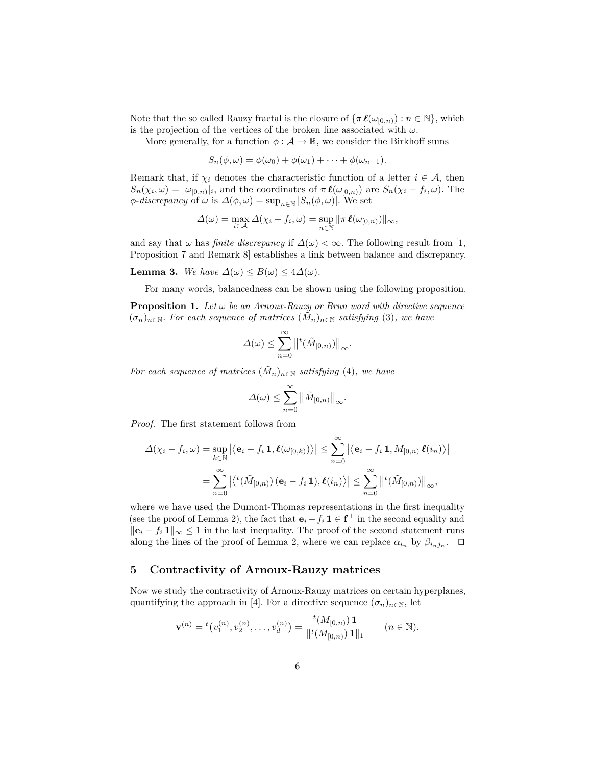Note that the so called Rauzy fractal is the closure of  $\{\pi \ell(\omega_{[0,n)}): n \in \mathbb{N}\},\$  which is the projection of the vertices of the broken line associated with *ω*.

More generally, for a function  $\phi : \mathcal{A} \to \mathbb{R}$ , we consider the Birkhoff sums

$$
S_n(\phi,\omega)=\phi(\omega_0)+\phi(\omega_1)+\cdots+\phi(\omega_{n-1}).
$$

Remark that, if  $\chi_i$  denotes the characteristic function of a letter  $i \in \mathcal{A}$ , then  $S_n(\chi_i, \omega) = |\omega_{[0,n)}|_i$ , and the coordinates of  $\pi \ell(\omega_{[0,n)})$  are  $S_n(\chi_i - f_i, \omega)$ . The  $\phi$ -*discrepancy* of  $\omega$  is  $\Delta(\phi, \omega) = \sup_{n \in \mathbb{N}} |S_n(\phi, \omega)|$ . We set

$$
\Delta(\omega) = \max_{i \in \mathcal{A}} \Delta(\chi_i - f_i, \omega) = \sup_{n \in \mathbb{N}} ||\pi \ell(\omega_{[0,n)})||_{\infty},
$$

and say that  $\omega$  has *finite discrepancy* if  $\Delta(\omega) < \infty$ . The following result from [1, Proposition 7 and Remark 8] establishes a link between balance and discrepancy.

**Lemma 3.** We have  $\Delta(\omega) \leq B(\omega) \leq 4\Delta(\omega)$ .

For many words, balancedness can be shown using the following proposition.

**Proposition 1.** Let  $\omega$  be an Arnoux-Rauzy or Brun word with directive sequence  $(\sigma_n)_{n \in \mathbb{N}}$ . For each sequence of matrices  $(\tilde{M}_n)_{n \in \mathbb{N}}$  satisfying (3), we have

$$
\Delta(\omega) \leq \sum_{n=0}^{\infty} ||^{t}(\tilde{M}_{[0,n)})||_{\infty}.
$$

*For each sequence of matrices*  $(\tilde{M}_n)_{n \in \mathbb{N}}$  *satisfying* (4), we have

$$
\Delta(\omega) \leq \sum_{n=0}^{\infty} \left\| \tilde{M}_{[0,n)} \right\|_{\infty}.
$$

*Proof.* The first statement follows from

$$
\Delta(\chi_i - f_i, \omega) = \sup_{k \in \mathbb{N}} |\langle \mathbf{e}_i - f_i \mathbf{1}, \ell(\omega_{[0,k)}) \rangle| \leq \sum_{n=0}^{\infty} |\langle \mathbf{e}_i - f_i \mathbf{1}, M_{[0,n)} \ell(i_n) \rangle|
$$
  
= 
$$
\sum_{n=0}^{\infty} |\langle {}^t(\tilde{M}_{[0,n)}) (\mathbf{e}_i - f_i \mathbf{1}), \ell(i_n) \rangle| \leq \sum_{n=0}^{\infty} ||{}^t(\tilde{M}_{[0,n)})||_{\infty},
$$

where we have used the Dumont-Thomas representations in the first inequality (see the proof of Lemma 2), the fact that  $\mathbf{e}_i - f_i \mathbf{1} \in \mathbf{f}^{\perp}$  in the second equality and  $\|\mathbf{e}_i - f_i\mathbf{1}\|_{\infty}$  ≤ 1 in the last inequality. The proof of the second statement runs along the lines of the proof of Lemma 2, where we can replace  $\alpha_{i_n}$  by  $\beta_{i_n j_n}$ .  $\Box$ 

#### **5 Contractivity of Arnoux-Rauzy matrices**

Now we study the contractivity of Arnoux-Rauzy matrices on certain hyperplanes, quantifying the approach in [4]. For a directive sequence  $(\sigma_n)_{n\in\mathbb{N}}$ , let

$$
\mathbf{v}^{(n)} = {}^{t}\big(v_1^{(n)}, v_2^{(n)}, \dots, v_d^{(n)}\big) = \frac{{}^{t}\big(M_{[0,n)}\big)\mathbf{1}}{\|{}^{t}\big(M_{[0,n)}\big)\mathbf{1}\|_1} \qquad (n \in \mathbb{N}).
$$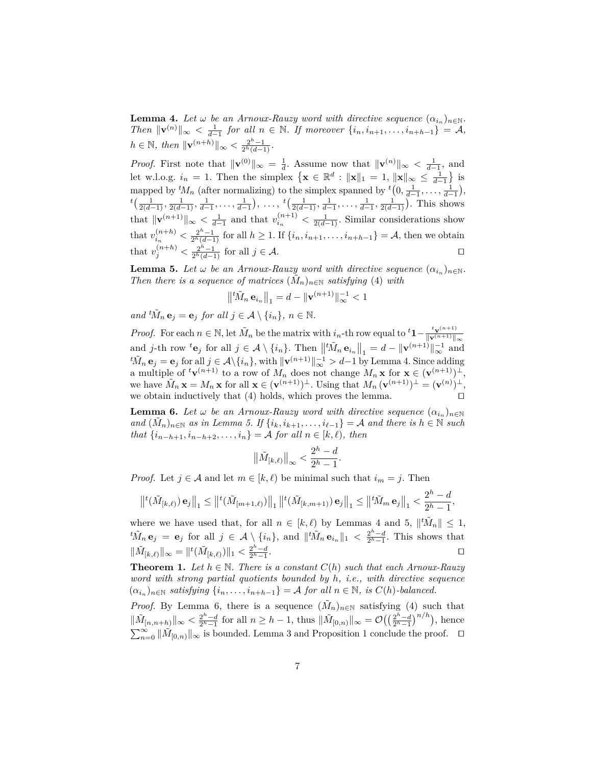**Lemma 4.** Let  $\omega$  be an Arnoux-Rauzy word with directive sequence  $(\alpha_{i_n})_{n \in \mathbb{N}}$ . *Then*  $\|\mathbf{v}^{(n)}\|_{\infty} < \frac{1}{d-1}$  *for all*  $n \in \mathbb{N}$ *. If moreover*  $\{i_n, i_{n+1}, \ldots, i_{n+h-1}\} = A$ *,*  $h \in \mathbb{N}$ *, then*  $\|\mathbf{v}^{(n+h)}\|_{\infty} < \frac{2^h - 1}{2^h(d-1)}$ *.* 

*Proof.* First note that  $\|\mathbf{v}^{(0)}\|_{\infty} = \frac{1}{d}$ . Assume now that  $\|\mathbf{v}^{(n)}\|_{\infty} < \frac{1}{d-1}$ , and let w.l.o.g.  $i_n = 1$ . Then the simplex  $\{ \mathbf{x} \in \mathbb{R}^d : ||\mathbf{x}||_1 = 1, ||\mathbf{x}||_{\infty} \le \frac{1}{d-1} \}$  is mapped by  ${}^t M_n$  (after normalizing) to the simplex spanned by  ${}^t (0, \frac{1}{d-1}, \ldots, \frac{1}{d-1}),$  $^{t}(\frac{1}{2(d-1)},\frac{1}{2(d-1)},\frac{1}{d-1},\ldots,\frac{1}{d-1}),\ldots, ^{t}(\frac{1}{2(d-1)},\frac{1}{d-1},\ldots,\frac{1}{d-1},\frac{1}{2(d-1)}).$  This shows that  $\|\mathbf{v}^{(n+1)}\|_{\infty} < \frac{1}{d-1}$  and that  $v_{i_n}^{(n+1)} < \frac{1}{2(d-1)}$ . Similar considerations show that  $v_{i_n}^{(n+h)} < \frac{2^h-1}{2^h(d-1)}$  for all  $h \ge 1$ . If  $\{i_n, i_{n+1}, \ldots, i_{n+h-1}\} = A$ , then we obtain that  $v_j^{(n+h)} < \frac{2^h - 1}{2^h(d-1)}$  for all  $j \in \mathcal{A}$ .

**Lemma 5.** Let  $\omega$  be an Arnoux-Rauzy word with directive sequence  $(\alpha_{i_n})_{n \in \mathbb{N}}$ . *Then there is a sequence of matrices*  $(M_n)_{n\in\mathbb{N}}$  *satisfying* (4) *with* 

$$
\left\|\left|^{t}\tilde{M}_{n}\mathbf{e}_{i_{n}}\right\|_{1} = d - \|\mathbf{v}^{(n+1)}\|_{\infty}^{-1} < 1
$$

*and*  ${}^t\tilde{M}_n \mathbf{e}_j = \mathbf{e}_j$  *for all*  $j \in \mathcal{A} \setminus \{i_n\}, n \in \mathbb{N}$ .

*Proof.* For each  $n \in \mathbb{N}$ , let  $\tilde{M}_n$  be the matrix with  $i_n$ -th row equal to  ${}^t\mathbf{1} - \frac{t_{\mathbf{V}}(n+1)}{\|\mathbf{V}(n+1)\|}$  $\|\mathbf{v}^{(n+1)}\|_{\infty}$ and *j*-th row  ${}^t\mathbf{e}_j$  for all  $j \in \mathcal{A} \setminus \{i_n\}$ . Then  $\left\| {}^t\tilde{M}_n \mathbf{e}_{i_n} \right\|_1 = d - \|\mathbf{v}^{(n+1)}\|_{\infty}^{-1}$  and  ${}^t\tilde{M}_n \mathbf{e}_j = \mathbf{e}_j$  for all  $j \in \mathcal{A} \setminus \{i_n\}$ , with  $\|\mathbf{v}^{(n+1)}\|_{\infty}^{-1} > d-1$  by Lemma 4. Since adding a multiple of  ${}^t\mathbf{v}^{(n+1)}$  to a row of  $M_n$  does not change  $M_n \mathbf{x}$  for  $\mathbf{x} \in (\mathbf{v}^{(n+1)})^{\perp}$ , we have  $\tilde{M}_n \mathbf{x} = M_n \mathbf{x}$  for all  $\mathbf{x} \in (\mathbf{v}^{(n+1)})^{\perp}$ . Using that  $M_n (\mathbf{v}^{(n+1)})^{\perp} = (\mathbf{v}^{(n)})^{\perp}$ , we obtain inductively that  $(4)$  holds, which proves the lemma.

**Lemma 6.** Let  $\omega$  be an Arnoux-Rauzy word with directive sequence  $(\alpha_{i_n})_{n \in \mathbb{N}}$  $and$   $(\tilde{M}_n)_{n \in \mathbb{N}}$  *as in Lemma 5.* If  $\{i_k, i_{k+1}, \ldots, i_{\ell-1}\} = A$  *and there is*  $h \in \mathbb{N}$  *such that*  $\{i_{n-h+1}, i_{n-h+2}, \ldots, i_n\} = A$  *for all*  $n \in [k, \ell)$ *, then* 

$$
\big\|\tilde M_{[k,\ell)}\big\|_\infty<\frac{2^h-d}{2^h-1}
$$

*.*

*Proof.* Let  $j \in \mathcal{A}$  and let  $m \in [k, \ell)$  be minimal such that  $i_m = j$ . Then

$$
\left\|^{t}(\tilde{M}_{[k,\ell)})\,\mathbf{e}_j\right\|_{1} \leq \left\|^{t}(\tilde{M}_{[m+1,\ell)})\right\|_{1}\left\|^{t}(\tilde{M}_{[k,m+1)})\,\mathbf{e}_j\right\|_{1} \leq \left\|^{t}\tilde{M}_{m}\,\mathbf{e}_j\right\|_{1} < \frac{2^h-d}{2^h-1},
$$

where we have used that, for all  $n \in [k, \ell)$  by Lemmas 4 and 5,  $\|\tilde{M}_n\| \leq 1$ ,  ${}^t\tilde{M}_n\mathbf{e}_j = \mathbf{e}_j$  for all  $j \in \mathcal{A} \setminus \{i_n\}$ , and  $||{}^t\tilde{M}_n\mathbf{e}_{i_n}||_1 < \frac{2^h-d}{2^h-1}$ . This shows that  $\|\tilde{M}_{[k,\ell)}\|_{\infty} = \|^{t}(\tilde{M}_{[k,\ell)})\|_{1} < \frac{2^{h}-d}{2^{h}-1}$ . The contract of the contract of the contract of the contract of the contract of the contract of the contract of the contract of the contract of the contract of the contract of the contract of the contract of the contract

**Theorem 1.** *Let*  $h \in \mathbb{N}$ *. There is a constant*  $C(h)$  *such that each Arnoux-Rauzy word with strong partial quotients bounded by h, i.e., with directive sequence*  $(\alpha_{i_n})_{n \in \mathbb{N}}$  *satisfying*  $\{i_n, \ldots, i_{n+h-1}\} = A$  *for all*  $n \in \mathbb{N}$ *, is*  $C(h)$ *-balanced.* 

*Proof.* By Lemma 6, there is a sequence  $(\tilde{M}_n)_{n\in\mathbb{N}}$  satisfying (4) such that  $\|\tilde{M}_{[n,n+h)}\|_{\infty} < \frac{2^h - d}{2^h - 1}$  for all  $n \geq h - 1$ , thus  $\|\tilde{M}_{[0,n)}\|_{\infty} = \mathcal{O}\left(\left(\frac{2^h - d}{2^h - 1}\right)^{n/h}\right)$ , hence  $\sum_{n=0}^{\infty} ||\tilde{M}_{[0,n)}||_{\infty}$  is bounded. Lemma 3 and Proposition 1 conclude the proof.  $\Box$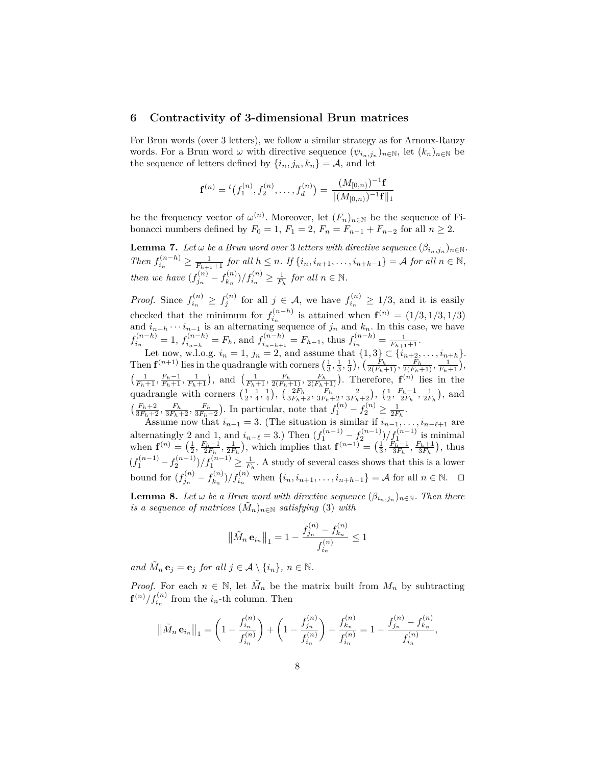#### **6 Contractivity of 3-dimensional Brun matrices**

For Brun words (over 3 letters), we follow a similar strategy as for Arnoux-Rauzy words. For a Brun word  $\omega$  with directive sequence  $(\psi_{i_n,j_n})_{n\in\mathbb{N}}$ , let  $(k_n)_{n\in\mathbb{N}}$  be the sequence of letters defined by  $\{i_n, j_n, k_n\} = A$ , and let

$$
\mathbf{f}^{(n)} = {}^{t}(f_1^{(n)}, f_2^{(n)}, \dots, f_d^{(n)}) = \frac{(M_{[0,n)})^{-1}\mathbf{f}}{\| (M_{[0,n)})^{-1}\mathbf{f} \|_1}
$$

be the frequency vector of  $\omega^{(n)}$ . Moreover, let  $(F_n)_{n\in\mathbb{N}}$  be the sequence of Fibonacci numbers defined by  $F_0 = 1$ ,  $F_1 = 2$ ,  $F_n = F_{n-1} + F_{n-2}$  for all  $n \ge 2$ .

**Lemma 7.** Let  $\omega$  be a Brun word over 3 letters with directive sequence  $(\beta_{i_n,j_n})_{n\in\mathbb{N}}$ . Then  $f_{i_n}^{(n-h)} \geq \frac{1}{F_{h+1}+1}$  for all  $h \leq n$ . If  $\{i_n, i_{n+1}, \ldots, i_{n+h-1}\} = A$  for all  $n \in \mathbb{N}$ , *then we have*  $(f_{j_n}^{(n)} - f_{k_n}^{(n)})$  $f_{k_n}^{(n)}/f_{i_n}^{(n)} \geq \frac{1}{F_h}$  *for all*  $n \in \mathbb{N}$ *.* 

*Proof.* Since  $f_{i_n}^{(n)} \geq f_j^{(n)}$  for all  $j \in \mathcal{A}$ , we have  $f_{i_n}^{(n)}$  $t_{i_n}^{(n)} \geq 1/3$ , and it is easily checked that the minimum for  $f_i^{(n-h)}$  $i_n^{(n-h)}$  is attained when  $f^{(n)} = (1/3, 1/3, 1/3)$ and  $i_{n-h} \cdots i_{n-1}$  is an alternating sequence of  $j_n$  and  $k_n$ . In this case, we have  $f_{i_n}^{(n-h)} = 1$ ,  $f_{i_{n-h}}^{(n-h)} = F_h$ , and  $f_{i_{n-h+1}}^{(n-h)} = F_{h-1}$ , thus  $f_{i_n}^{(n-h)} = \frac{1}{F_{h+1}+1}$ .

Let now, w.l.o.g.  $i_n = 1$ ,  $j_n = 2$ , and assume that  $\{1,3\} \subset \{i_{n+2}, \ldots, i_{n+h}\}.$ Then  $\mathbf{f}^{(n+1)}$  lies in the quadrangle with corners  $\left(\frac{1}{3}, \frac{1}{3}, \frac{1}{3}\right)$ ,  $\left(\frac{F_h}{2(F_h+1)}, \frac{F_h}{2(F_h+1)}, \frac{1}{F_h+1}\right)$ ,  $\left(\frac{1}{F_h+1}, \frac{F_h-1}{F_h+1}, \frac{1}{F_h+1}\right)$ , and  $\left(\frac{1}{F_h+1}, \frac{F_h}{2(F_h+1)}, \frac{F_h}{2(F_h+1)}\right)$ . Therefore,  $\mathbf{f}^{(n)}$  lies in the quadrangle with corners  $(\frac{1}{2}, \frac{1}{4}, \frac{1}{4})$ ,  $(\frac{2F_h}{3F_h+2}, \frac{F_h}{3F_h+2}, \frac{2}{3F_h+2})$ ,  $(\frac{1}{2}, \frac{F_h-1}{2F_h}, \frac{1}{2F_h})$ , and  $\left(\frac{F_h+2}{3F_h+2}, \frac{F_h}{3F_h+2}, \frac{F_h}{3F_h+2}\right)$ . In particular, note that  $f_1^{(n)} - f_2^{(n)} \ge \frac{1}{2F_h}$ .

Assume now that  $i_{n-1} = 3$ . (The situation is similar if  $i_{n-1}, \ldots, i_{n-\ell+1}$  are alternatingly 2 and 1, and  $i_{n-\ell} = 3$ .) Then  $(f_1^{(n-1)} - f_2^{(n-1)})/f_1^{(n-1)}$  is minimal when  $\mathbf{f}^{(n)} = \left(\frac{1}{2}, \frac{F_h - 1}{2F_h}, \frac{1}{2F_h}\right)$ , which implies that  $\mathbf{f}^{(n-1)} = \left(\frac{1}{3}, \frac{F_h - 1}{3F_h}, \frac{F_h + 1}{3F_h}\right)$ , thus  $(f_1^{(n-1)} - f_2^{(n-1)})/f_1^{(n-1)} \ge \frac{1}{F_h}$ . A study of several cases shows that this is a lower bound for  $(f_{j_n}^{(n)} - f_{k_n}^{(n)})/f_{i_n}^{(n)}$  when  $\{i_n, i_{n+1}, \ldots, i_{n+h-1}\} = A$  for all  $n \in \mathbb{N}$ . □  $(n)$   $r(n)$ 

**Lemma 8.** Let  $\omega$  be a Brun word with directive sequence  $(\beta_{i_n,j_n})_{n\in\mathbb{N}}$ . Then there *is a sequence of matrices*  $(\tilde{M}_n)_{n \in \mathbb{N}}$  *satisfying* (3) *with* 

$$
\left\|\tilde{M}_n \mathbf{e}_{i_n}\right\|_1 = 1 - \frac{f_{j_n}^{(n)} - f_{k_n}^{(n)}}{f_{i_n}^{(n)}} \le 1
$$

*and*  $\tilde{M}_n \mathbf{e}_j = \mathbf{e}_j$  *for all*  $j \in \mathcal{A} \setminus \{i_n\}, n \in \mathbb{N}$ .

*Proof.* For each  $n \in \mathbb{N}$ , let  $\tilde{M}_n$  be the matrix built from  $M_n$  by subtracting  $\int f^{(n)}(f_{i_n}^{(n)})$  from the  $i_n$ -th column. Then

$$
\left\|\tilde{M}_n \mathbf{e}_{i_n}\right\|_1 = \left(1 - \frac{f_{i_n}^{(n)}}{f_{i_n}^{(n)}}\right) + \left(1 - \frac{f_{j_n}^{(n)}}{f_{i_n}^{(n)}}\right) + \frac{f_{k_n}^{(n)}}{f_{i_n}^{(n)}} = 1 - \frac{f_{j_n}^{(n)} - f_{k_n}^{(n)}}{f_{i_n}^{(n)}},
$$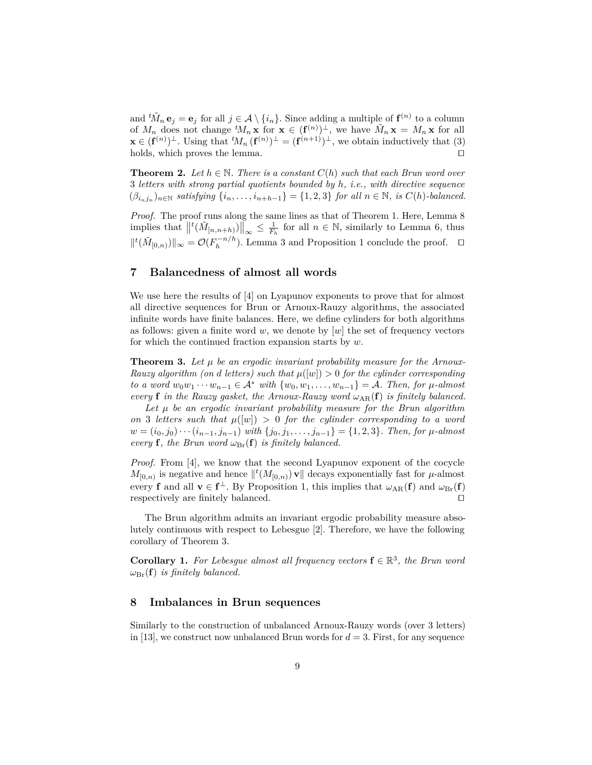and  ${}^t\tilde{M}_n \mathbf{e}_j = \mathbf{e}_j$  for all  $j \in \mathcal{A} \setminus \{i_n\}$ . Since adding a multiple of  $\mathbf{f}^{(n)}$  to a column of  $M_n$  does not change  ${}^t\!M_n \mathbf{x}$  for  $\mathbf{x} \in (\mathbf{f}^{(n)})^{\perp}$ , we have  $\tilde{M}_n \mathbf{x} = M_n \mathbf{x}$  for all **x** ∈  $(\mathbf{f}^{(n)})^{\perp}$ . Using that  ${}^tM_n(\mathbf{f}^{(n)})^{\perp} = (\mathbf{f}^{(n+1)})^{\perp}$ , we obtain inductively that (3) holds, which proves the lemma.  $\square$ 

**Theorem 2.** Let  $h \in \mathbb{N}$ . There is a constant  $C(h)$  such that each Brun word over 3 *letters with strong partial quotients bounded by h, i.e., with directive sequence*  $(\beta_{i_nj_n})_{n\in\mathbb{N}}$  satisfying  $\{i_n,\ldots,i_{n+h-1}\} = \{1,2,3\}$  for all  $n \in \mathbb{N}$ , is  $C(h)$ -balanced.

*Proof.* The proof runs along the same lines as that of Theorem 1. Here, Lemma 8 implies that  $||^t(\tilde{M}_{[n,n+h)})||_{\infty} \leq \frac{1}{F_h}$  for all  $n \in \mathbb{N}$ , similarly to Lemma 6, thus  $||^{t}(\tilde{M}_{[0,n)})||_{\infty} = \mathcal{O}(F_{h}^{-n/h})$  $h^{-n/n}$ ). Lemma 3 and Proposition 1 conclude the proof.  $\square$ 

## **7 Balancedness of almost all words**

We use here the results of [4] on Lyapunov exponents to prove that for almost all directive sequences for Brun or Arnoux-Rauzy algorithms, the associated infinite words have finite balances. Here, we define cylinders for both algorithms as follows: given a finite word  $w$ , we denote by  $[w]$  the set of frequency vectors for which the continued fraction expansion starts by *w*.

**Theorem 3.** Let  $\mu$  be an ergodic invariant probability measure for the Arnoux-*Rauzy algorithm (on d letters) such that*  $\mu([w]) > 0$  *for the cylinder corresponding to a word*  $w_0w_1 \cdots w_{n-1} \in A^*$  *with*  $\{w_0, w_1, \ldots, w_{n-1}\} = A$ *. Then, for*  $\mu$ -almost *every* **f** *in the Rauzy gasket, the Arnoux-Rauzy word*  $\omega_{AR}(\mathbf{f})$  *is finitely balanced.* 

Let  $\mu$  be an ergodic invariant probability measure for the Brun algorithm *on* 3 *letters such that*  $\mu([w]) > 0$  *for the cylinder corresponding to a word w* =  $(i_0, j_0) \cdots (i_{n-1}, j_{n-1})$  *with*  $\{j_0, j_1, \ldots, j_{n-1}\} = \{1, 2, 3\}$ *. Then, for µ*-almost *every* **f***, the Brun word*  $\omega_{\text{Br}}(\mathbf{f})$  *is finitely balanced.* 

*Proof.* From [4], we know that the second Lyapunov exponent of the cocycle  $M_{[0,n)}$  is negative and hence  $\Vert^t(M_{[0,n)})\mathbf{v}\Vert$  decays exponentially fast for *µ*-almost every **f** and all  $\mathbf{v} \in \mathbf{f}^{\perp}$ . By Proposition 1, this implies that  $\omega_{AR}(\mathbf{f})$  and  $\omega_{Br}(\mathbf{f})$ respectively are finitely balanced.  $\Box$ 

The Brun algorithm admits an invariant ergodic probability measure absolutely continuous with respect to Lebesgue [2]. Therefore, we have the following corollary of Theorem 3.

**Corollary 1.** For Lebesgue almost all frequency vectors  $f \in \mathbb{R}^3$ , the Brun word  $\omega_{\text{Br}}(\mathbf{f})$  *is finitely balanced.* 

## **8 Imbalances in Brun sequences**

Similarly to the construction of unbalanced Arnoux-Rauzy words (over 3 letters) in [13], we construct now unbalanced Brun words for  $d = 3$ . First, for any sequence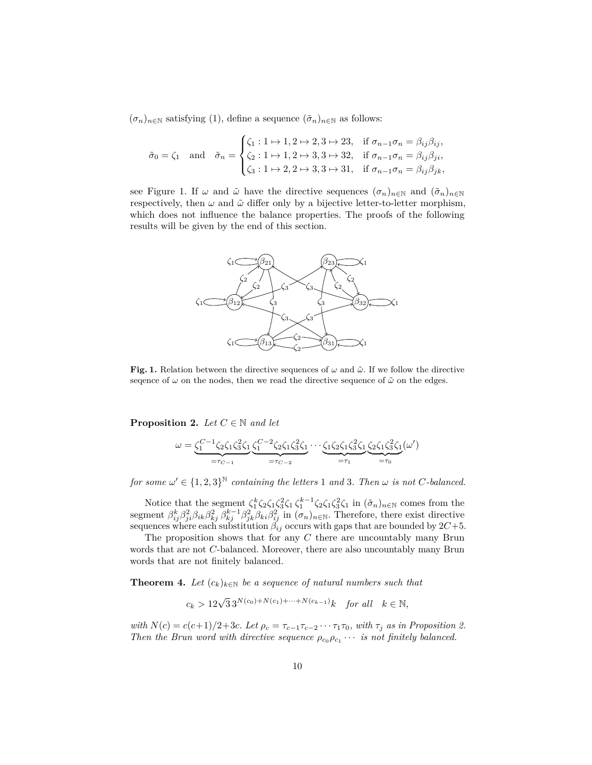$(\sigma_n)_{n \in \mathbb{N}}$  satisfying (1), define a sequence  $(\tilde{\sigma}_n)_{n \in \mathbb{N}}$  as follows:

$$
\tilde{\sigma}_0 = \zeta_1 \quad \text{and} \quad \tilde{\sigma}_n = \begin{cases} \zeta_1 : 1 \mapsto 1, 2 \mapsto 2, 3 \mapsto 23, & \text{if } \sigma_{n-1}\sigma_n = \beta_{ij}\beta_{ij}, \\ \zeta_2 : 1 \mapsto 1, 2 \mapsto 3, 3 \mapsto 32, & \text{if } \sigma_{n-1}\sigma_n = \beta_{ij}\beta_{ji}, \\ \zeta_3 : 1 \mapsto 2, 2 \mapsto 3, 3 \mapsto 31, & \text{if } \sigma_{n-1}\sigma_n = \beta_{ij}\beta_{jk}, \end{cases}
$$

see Figure 1. If  $\omega$  and  $\tilde{\omega}$  have the directive sequences  $(\sigma_n)_{n\in\mathbb{N}}$  and  $(\tilde{\sigma}_n)_{n\in\mathbb{N}}$ respectively, then  $\omega$  and  $\tilde{\omega}$  differ only by a bijective letter-to-letter morphism, which does not influence the balance properties. The proofs of the following results will be given by the end of this section.



**Fig. 1.** Relation between the directive sequences of  $\omega$  and  $\tilde{\omega}$ . If we follow the directive sequence of  $\omega$  on the nodes, then we read the directive sequence of  $\tilde{\omega}$  on the edges.

**Proposition 2.** *Let*  $C \in \mathbb{N}$  *and let* 

$$
\omega = \underbrace{\zeta_1^{C-1} \zeta_2 \zeta_1 \zeta_3^2 \zeta_1}_{=\tau_{C-1}} \underbrace{\zeta_1^{C-2} \zeta_2 \zeta_1 \zeta_3^2 \zeta_1}_{=\tau_{C-2}} \cdots \underbrace{\zeta_1 \zeta_2 \zeta_1 \zeta_3^2 \zeta_1}_{=\tau_1} \underbrace{\zeta_2 \zeta_1 \zeta_3^2 \zeta_1}_{=\tau_0} (\omega')
$$

*for some*  $\omega' \in \{1, 2, 3\}^{\mathbb{N}}$  *containing the letters* 1 *and* 3*. Then*  $\omega$  *is not C*-balanced.

Notice that the segment  $\zeta_1^k \zeta_2 \zeta_1 \zeta_3^2 \zeta_1 \zeta_1^{k-1} \zeta_2 \zeta_1 \zeta_3^2 \zeta_1$  in  $(\tilde{\sigma}_n)_{n \in \mathbb{N}}$  comes from the segment  $\beta_{ij}^k \beta_{ji}^2 \beta_{ik} \beta_{kj}^2 \beta_{kj}^{k-1} \beta_{jk}^2 \beta_{ki} \beta_{ij}^2$  in  $(\sigma_n)_{n \in \mathbb{N}}$ . Therefore, there exist directive sequences where each substitution  $\beta_{ij}$  occurs with gaps that are bounded by  $2C+5$ .

The proposition shows that for any *C* there are uncountably many Brun words that are not *C*-balanced. Moreover, there are also uncountably many Brun words that are not finitely balanced.

**Theorem 4.** Let  $(c_k)_{k \in \mathbb{N}}$  be a sequence of natural numbers such that

 $c_k > 12\sqrt{3} \, 3^{N(c_0)+N(c_1)+\cdots+N(c_{k-1})} k$  *for all*  $k \in \mathbb{N}$ ,

*with*  $N(c) = c(c+1)/2+3c$ *. Let*  $\rho_c = \tau_{c-1}\tau_{c-2}\cdots\tau_1\tau_0$ *, with*  $\tau_j$  *as in Proposition 2. Then the Brun word with directive sequence*  $\rho_{c_0} \rho_{c_1} \cdots$  *is not finitely balanced.*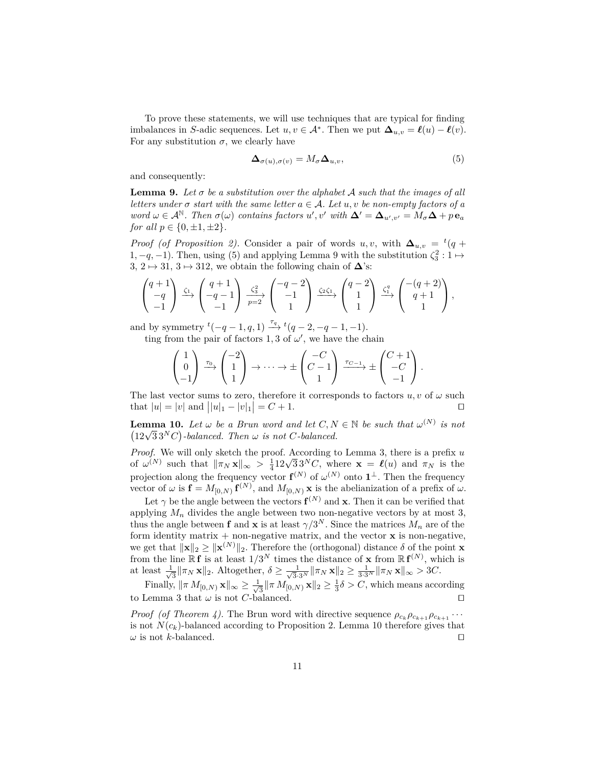To prove these statements, we will use techniques that are typical for finding imbalances in *S*-adic sequences. Let  $u, v \in A^*$ . Then we put  $\Delta_{u,v} = \ell(u) - \ell(v)$ . For any substitution  $\sigma$ , we clearly have

$$
\Delta_{\sigma(u),\sigma(v)} = M_{\sigma} \Delta_{u,v},\tag{5}
$$

and consequently:

**Lemma 9.** Let  $\sigma$  be a substitution over the alphabet A such that the images of all *letters under*  $\sigma$  *start with the same letter*  $a \in \mathcal{A}$ *. Let*  $u, v$  *be non-empty factors of*  $a$  $w$ *ord*  $\omega \in A^{\mathbb{N}}$ . Then  $\sigma(\omega)$  contains factors  $u', v'$  with  $\Delta' = \Delta_{u', v'} = M_{\sigma} \Delta + p \mathbf{e}_a$ *for all*  $p \in \{0, \pm 1, \pm 2\}$ *.* 

*Proof* (*of Proposition 2*). Consider a pair of words *u, v,* with  $\Delta_{u,v} = {}^t(q +$ 1, −*q*, −1). Then, using (5) and applying Lemma 9 with the substitution  $\zeta_3^2$  : 1  $\mapsto$ 3, 2  $\mapsto$  31, 3  $\mapsto$  312, we obtain the following chain of  $\Delta$ 's:

$$
\begin{pmatrix} q+1 \ -q \ -1 \end{pmatrix} \xrightarrow{\zeta_1} \begin{pmatrix} q+1 \ -q-1 \ -1 \end{pmatrix} \xrightarrow{c_3^2} \begin{pmatrix} -q-2 \ -1 \ 1 \end{pmatrix} \xrightarrow{\zeta_2\zeta_1} \begin{pmatrix} q-2 \ 1 \ 1 \end{pmatrix} \xrightarrow{\zeta_1} \begin{pmatrix} -(q+2) \ q+1 \ 1 \end{pmatrix},
$$

and by symmetry  ${}^t(-q-1, q, 1) \xrightarrow{\tau_q} {}^t(q-2, -q-1, -1)$ .

ting from the pair of factors 1, 3 of  $\omega'$ , we have the chain

$$
\begin{pmatrix} 1 \\ 0 \\ -1 \end{pmatrix} \xrightarrow{\tau_0} \begin{pmatrix} -2 \\ 1 \\ 1 \end{pmatrix} \rightarrow \cdots \rightarrow \pm \begin{pmatrix} -C \\ C-1 \\ 1 \end{pmatrix} \xrightarrow{\tau_{C-1}} \pm \begin{pmatrix} C+1 \\ -C \\ -1 \end{pmatrix}.
$$

The last vector sums to zero, therefore it corresponds to factors  $u, v$  of  $\omega$  such that  $|u| = |v|$  and  $||u|_1 - |v|_1| = C + 1$ .

**Lemma 10.** *Let*  $\omega$  *be a Brun word and let*  $C, N \in \mathbb{N}$  *be such that*  $\omega^{(N)}$  *is not* **10.** Let  $\omega$  be a Brun word and let  $C, N$ <br>(12 $\sqrt{3}$  3<sup>*N*</sup>C)-balanced. Then  $\omega$  is not C-balanced.

*Proof.* We will only sketch the proof. According to Lemma 3, there is a prefix *u Proof.* We will only sketch the proof. According to Lemma 3, there is a prenx u of  $\omega^{(N)}$  such that  $\|\pi_N \mathbf{x}\|_{\infty} > \frac{1}{4} 12\sqrt{3} \, 3^N C$ , where  $\mathbf{x} = \ell(u)$  and  $\pi_N$  is the projection along the frequency vector  $f^{(N)}$  of  $\omega^{(N)}$  onto  $1^{\perp}$ . Then the frequency vector of  $\omega$  is  $\mathbf{f} = M_{[0,N)} \mathbf{f}^{(N)}$ , and  $M_{[0,N)} \mathbf{x}$  is the abelianization of a prefix of  $\omega$ .

Let  $\gamma$  be the angle between the vectors  $f^{(N)}$  and **x**. Then it can be verified that applying  $M_n$  divides the angle between two non-negative vectors by at most 3, thus the angle between **f** and **x** is at least  $\gamma/3^N$ . Since the matrices  $M_n$  are of the form identity matrix  $+$  non-negative matrix, and the vector  $x$  is non-negative, we get that  $\|\mathbf{x}\|_2 \ge \|\mathbf{x}^{(N)}\|_2$ . Therefore the (orthogonal) distance  $\delta$  of the point **x** from the line  $\mathbb{R}$  **f** is at least  $1/3^N$  times the distance of **x** from  $\mathbb{R}$  **f**<sup>(N)</sup>, which is at least  $\frac{1}{\sqrt{2}}$  $\frac{1}{3} \|\pi_N \mathbf{x}\|_2$ . Altogether,  $\delta \ge \frac{1}{\sqrt{3} \cdot 3^N} \|\pi_N \mathbf{x}\|_2 \ge \frac{1}{3 \cdot 3^N} \|\pi_N \mathbf{x}\|_{\infty} > 3C$ .

Finally,  $\|\pi M_{[0,N)}\mathbf{x}\|_{\infty}\geq \frac{1}{\sqrt{n}}$  $\frac{1}{3} \|\pi M_{[0,N)} \mathbf{x}\|_2 \geq \frac{1}{3} \delta > C$ , which means according to Lemma 3 that  $\omega$  is not *C*-balanced.

*Proof* (*of Theorem 4*). The Brun word with directive sequence  $\rho_{c_k}\rho_{c_{k+1}}\rho_{c_{k+1}}\cdots$ is not  $N(c_k)$ -balanced according to Proposition 2. Lemma 10 therefore gives that  $\omega$  is not *k*-balanced.